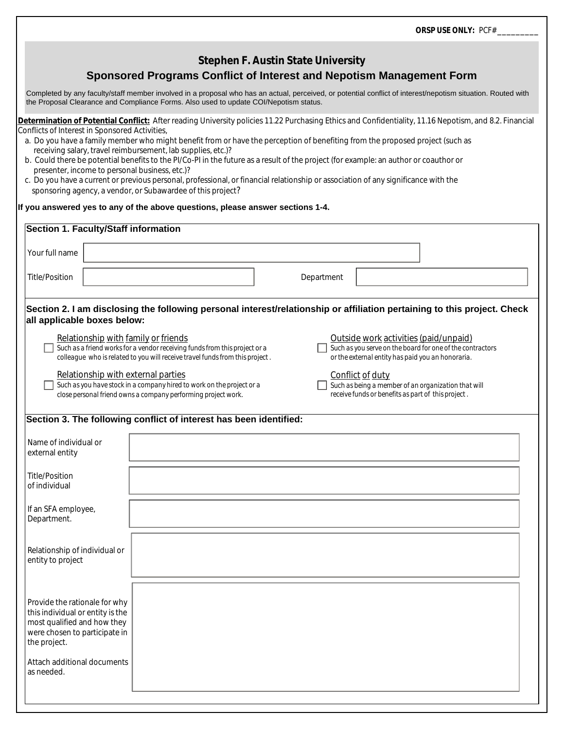*ORSP USE ONLY: PCF# \_\_\_\_\_\_\_\_\_*

## **Stephen F. Austin State University**

## **Sponsored Programs Conflict of Interest and Nepotism Management Form**

Completed by any faculty/staff member involved in a proposal who has an actual, perceived, or potential conflict of interest/nepotism situation. Routed with the Proposal Clearance and Compliance Forms. Also used to update COI/Nepotism status.

**Determination of Potential Conflict:** After reading University policies 11.22 Purchasing Ethics and Confidentiality, 11.16 Nepotism, and 8.2. Financial Conflicts of Interest in Sponsored Activities,

- a. Do you have a family member who might benefit from or have the perception of benefiting from the proposed project (such as receiving salary, travel reimbursement, lab supplies, etc.)?
- b. Could there be potential benefits to the PI/Co-PI in the future as a result of the project (for example: an author or coauthor or presenter, income to personal business, etc.)?
- c. Do you have a current or previous personal, professional, or financial relationship or association of any significance with the sponsoring agency, a vendor, or Subawardee of this project?

## **If you answered yes to any of the above questions, please answer sections 1-4.**

| <b>Section 1. Faculty/Staff information</b>                                                                                                                                  |                                                                                                                                                            |                                                                                                                               |                                                                                            |                                                           |
|------------------------------------------------------------------------------------------------------------------------------------------------------------------------------|------------------------------------------------------------------------------------------------------------------------------------------------------------|-------------------------------------------------------------------------------------------------------------------------------|--------------------------------------------------------------------------------------------|-----------------------------------------------------------|
| Your full name                                                                                                                                                               |                                                                                                                                                            |                                                                                                                               |                                                                                            |                                                           |
| <b>Title/Position</b>                                                                                                                                                        |                                                                                                                                                            | Department                                                                                                                    |                                                                                            |                                                           |
| all applicable boxes below:                                                                                                                                                  | Section 2. I am disclosing the following personal interest/relationship or affiliation pertaining to this project. Check                                   |                                                                                                                               |                                                                                            |                                                           |
| Relationship with family or friends                                                                                                                                          | Such as a friend works for a vendor receiving funds from this project or a<br>colleague who is related to you will receive travel funds from this project. |                                                                                                                               | Outside work activities (paid/unpaid)<br>or the external entity has paid you an honoraria. | Such as you serve on the board for one of the contractors |
| Relationship with external parties<br>Such as you have stock in a company hired to work on the project or a<br>close personal friend owns a company performing project work. |                                                                                                                                                            | Conflict of duty<br>Such as being a member of an organization that will<br>receive funds or benefits as part of this project. |                                                                                            |                                                           |
|                                                                                                                                                                              | Section 3. The following conflict of interest has been identified:                                                                                         |                                                                                                                               |                                                                                            |                                                           |
| Name of individual or<br>external entity                                                                                                                                     |                                                                                                                                                            |                                                                                                                               |                                                                                            |                                                           |
| <b>Title/Position</b><br>of individual                                                                                                                                       |                                                                                                                                                            |                                                                                                                               |                                                                                            |                                                           |
| If an SFA employee,<br>Department.                                                                                                                                           |                                                                                                                                                            |                                                                                                                               |                                                                                            |                                                           |
| Relationship of individual or<br>entity to project                                                                                                                           |                                                                                                                                                            |                                                                                                                               |                                                                                            |                                                           |
| Provide the rationale for why<br>this individual or entity is the<br>most qualified and how they<br>were chosen to participate in<br>the project.                            |                                                                                                                                                            |                                                                                                                               |                                                                                            |                                                           |
| Attach additional documents<br>as needed.                                                                                                                                    |                                                                                                                                                            |                                                                                                                               |                                                                                            |                                                           |
|                                                                                                                                                                              |                                                                                                                                                            |                                                                                                                               |                                                                                            |                                                           |